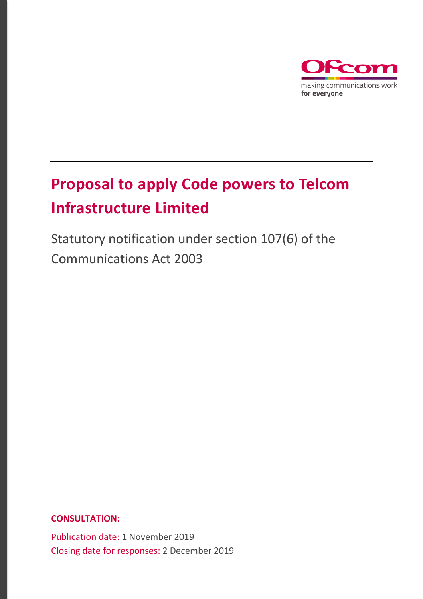

# **Proposal to apply Code powers to Telcom Infrastructure Limited**

Statutory notification under section 107(6) of the Communications Act 2003

**CONSULTATION:**

Publication date: 1 November 2019 Closing date for responses: 2 December 2019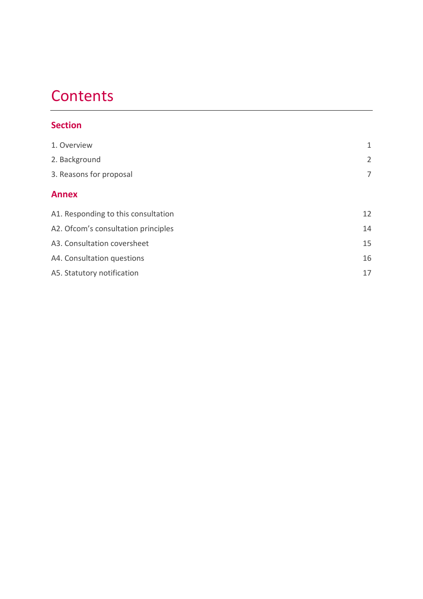# **Contents**

## **Section**

| 1. Overview                         | 1              |
|-------------------------------------|----------------|
| 2. Background                       | $\overline{2}$ |
| 3. Reasons for proposal             | 7              |
| <b>Annex</b>                        |                |
| A1. Responding to this consultation | 12             |
| A2. Ofcom's consultation principles | 14             |
| A3. Consultation coversheet         | 15             |
| A4. Consultation questions          | 16             |
| A5. Statutory notification          | 17             |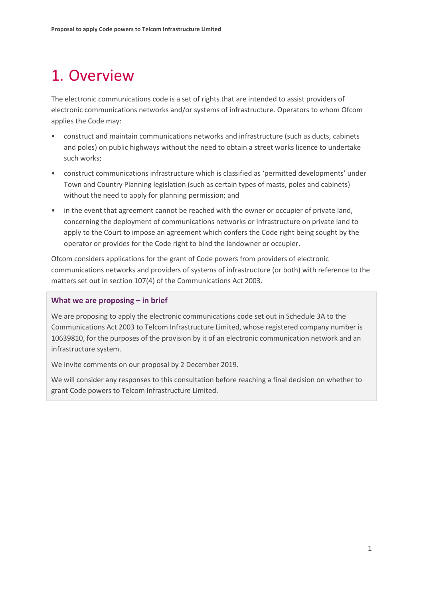# <span id="page-2-0"></span>1. Overview

The electronic communications code is a set of rights that are intended to assist providers of electronic communications networks and/or systems of infrastructure. Operators to whom Ofcom applies the Code may:

- construct and maintain communications networks and infrastructure (such as ducts, cabinets and poles) on public highways without the need to obtain a street works licence to undertake such works;
- construct communications infrastructure which is classified as 'permitted developments' under Town and Country Planning legislation (such as certain types of masts, poles and cabinets) without the need to apply for planning permission; and
- in the event that agreement cannot be reached with the owner or occupier of private land, concerning the deployment of communications networks or infrastructure on private land to apply to the Court to impose an agreement which confers the Code right being sought by the operator or provides for the Code right to bind the landowner or occupier.

Ofcom considers applications for the grant of Code powers from providers of electronic communications networks and providers of systems of infrastructure (or both) with reference to the matters set out in section 107(4) of the Communications Act 2003.

#### **What we are proposing – in brief**

We are proposing to apply the electronic communications code set out in Schedule 3A to the Communications Act 2003 to Telcom Infrastructure Limited, whose registered company number is 10639810, for the purposes of the provision by it of an electronic communication network and an infrastructure system.

We invite comments on our proposal by 2 December 2019.

We will consider any responses to this consultation before reaching a final decision on whether to grant Code powers to Telcom Infrastructure Limited.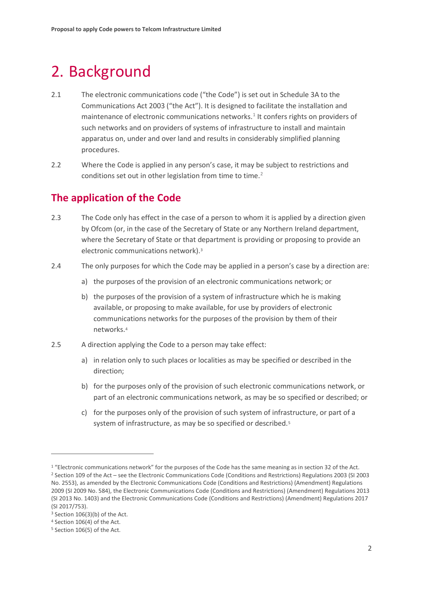# <span id="page-3-0"></span>2. Background

- 2.1 The electronic communications code ("the Code") is set out in Schedule 3A to the Communications Act 2003 ("the Act"). It is designed to facilitate the installation and maintenance of electronic communications networks.<sup>[1](#page-3-1)</sup> It confers rights on providers of such networks and on providers of systems of infrastructure to install and maintain apparatus on, under and over land and results in considerably simplified planning procedures.
- 2.2 Where the Code is applied in any person's case, it may be subject to restrictions and conditions set out in other legislation from time to time.<sup>[2](#page-3-2)</sup>

## **The application of the Code**

- 2.3 The Code only has effect in the case of a person to whom it is applied by a direction given by Ofcom (or, in the case of the Secretary of State or any Northern Ireland department, where the Secretary of State or that department is providing or proposing to provide an electronic communications network).[3](#page-3-3)
- 2.4 The only purposes for which the Code may be applied in a person's case by a direction are:
	- a) the purposes of the provision of an electronic communications network; or
	- b) the purposes of the provision of a system of infrastructure which he is making available, or proposing to make available, for use by providers of electronic communications networks for the purposes of the provision by them of their networks.[4](#page-3-4)
- 2.5 A direction applying the Code to a person may take effect:
	- a) in relation only to such places or localities as may be specified or described in the direction;
	- b) for the purposes only of the provision of such electronic communications network, or part of an electronic communications network, as may be so specified or described; or
	- c) for the purposes only of the provision of such system of infrastructure, or part of a system of infrastructure, as may be so specified or described.<sup>[5](#page-3-5)</sup>

<span id="page-3-2"></span><span id="page-3-1"></span><sup>&</sup>lt;sup>1</sup> "Electronic communications network" for the purposes of the Code has the same meaning as in section 32 of the Act. <sup>2</sup> Section 109 of the Act – see the Electronic Communications Code (Conditions and Restrictions) Regulations 2003 (SI 2003 No. 2553), as amended by the Electronic Communications Code (Conditions and Restrictions) (Amendment) Regulations 2009 (SI 2009 No. 584), the Electronic Communications Code (Conditions and Restrictions) (Amendment) Regulations 2013 (SI 2013 No. 1403) and the Electronic Communications Code (Conditions and Restrictions) (Amendment) Regulations 2017 (SI 2017/753).

<span id="page-3-3"></span> $3$  Section 106(3)(b) of the Act.

<span id="page-3-4"></span><sup>4</sup> Section 106(4) of the Act.

<span id="page-3-5"></span><sup>5</sup> Section 106(5) of the Act.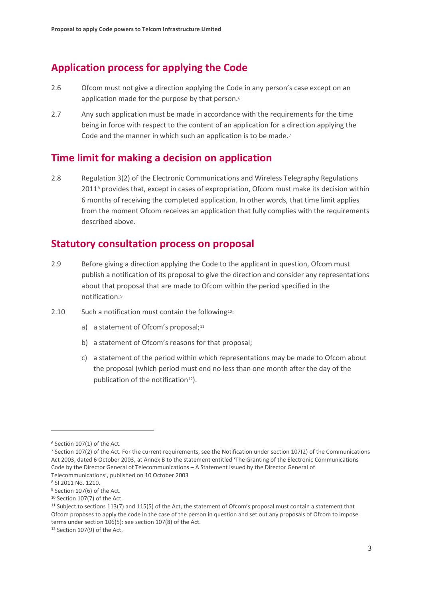## **Application process for applying the Code**

- 2.6 Ofcom must not give a direction applying the Code in any person's case except on an application made for the purpose by that person.<sup>[6](#page-4-0)</sup>
- 2.7 Any such application must be made in accordance with the requirements for the time being in force with respect to the content of an application for a direction applying the Code and the manner in which such an application is to be made.<sup>[7](#page-4-1)</sup>

### **Time limit for making a decision on application**

2.8 Regulation 3(2) of the Electronic Communications and Wireless Telegraphy Regulations 201[18](#page-4-2) provides that, except in cases of expropriation, Ofcom must make its decision within 6 months of receiving the completed application. In other words, that time limit applies from the moment Ofcom receives an application that fully complies with the requirements described above.

### **Statutory consultation process on proposal**

- 2.9 Before giving a direction applying the Code to the applicant in question, Ofcom must publish a notification of its proposal to give the direction and consider any representations about that proposal that are made to Ofcom within the period specified in the notification.[9](#page-4-3)
- 2.[10](#page-4-4) Such a notification must contain the following<sup>10</sup>:
	- a) a statement of Ofcom's proposal;<sup>[11](#page-4-5)</sup>
	- b) a statement of Ofcom's reasons for that proposal;
	- c) a statement of the period within which representations may be made to Ofcom about the proposal (which period must end no less than one month after the day of the publication of the notification<sup>[12](#page-4-6)</sup>).

<span id="page-4-0"></span><sup>6</sup> Section 107(1) of the Act.

<span id="page-4-1"></span><sup>7</sup> Section 107(2) of the Act. For the current requirements, see the Notification under section 107(2) of the Communications Act 2003, dated 6 October 2003, at Annex B to the statement entitled 'The Granting of the Electronic Communications Code by the Director General of Telecommunications – A Statement issued by the Director General of Telecommunications', published on 10 October 2003

<span id="page-4-2"></span><sup>8</sup> SI 2011 No. 1210.

<span id="page-4-3"></span><sup>&</sup>lt;sup>9</sup> Section 107(6) of the Act.

<span id="page-4-4"></span><sup>10</sup> Section 107(7) of the Act.

<span id="page-4-5"></span><sup>&</sup>lt;sup>11</sup> Subject to sections 113(7) and 115(5) of the Act, the statement of Ofcom's proposal must contain a statement that Ofcom proposes to apply the code in the case of the person in question and set out any proposals of Ofcom to impose terms under section 106(5): see section 107(8) of the Act.

<span id="page-4-6"></span><sup>12</sup> Section 107(9) of the Act.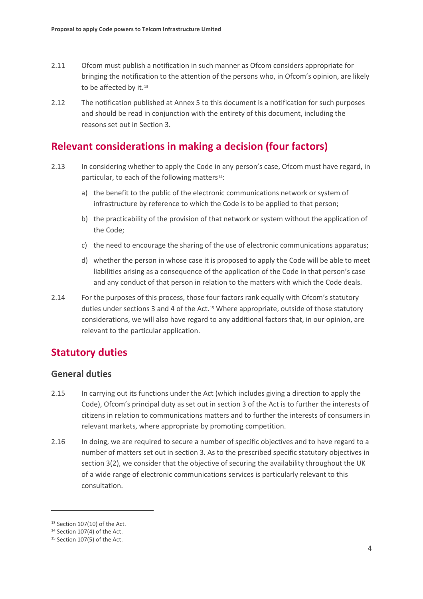- 2.11 Ofcom must publish a notification in such manner as Ofcom considers appropriate for bringing the notification to the attention of the persons who, in Ofcom's opinion, are likely to be affected by it.<sup>[13](#page-5-0)</sup>
- 2.12 The notification published at Annex 5 to this document is a notification for such purposes and should be read in conjunction with the entirety of this document, including the reasons set out in Section 3.

### **Relevant considerations in making a decision (four factors)**

- 2.13 In considering whether to apply the Code in any person's case, Ofcom must have regard, in particular, to each of the following matters<sup>[14](#page-5-1)</sup>:
	- a) the benefit to the public of the electronic communications network or system of infrastructure by reference to which the Code is to be applied to that person;
	- b) the practicability of the provision of that network or system without the application of the Code;
	- c) the need to encourage the sharing of the use of electronic communications apparatus;
	- d) whether the person in whose case it is proposed to apply the Code will be able to meet liabilities arising as a consequence of the application of the Code in that person's case and any conduct of that person in relation to the matters with which the Code deals.
- 2.14 For the purposes of this process, those four factors rank equally with Ofcom's statutory duties under sections 3 and 4 of the Act.<sup>[15](#page-5-2)</sup> Where appropriate, outside of those statutory considerations, we will also have regard to any additional factors that, in our opinion, are relevant to the particular application.

## **Statutory duties**

### **General duties**

- 2.15 In carrying out its functions under the Act (which includes giving a direction to apply the Code), Ofcom's principal duty as set out in section 3 of the Act is to further the interests of citizens in relation to communications matters and to further the interests of consumers in relevant markets, where appropriate by promoting competition.
- 2.16 In doing, we are required to secure a number of specific objectives and to have regard to a number of matters set out in section 3. As to the prescribed specific statutory objectives in section 3(2), we consider that the objective of securing the availability throughout the UK of a wide range of electronic communications services is particularly relevant to this consultation.

<span id="page-5-0"></span> $13$  Section 107(10) of the Act.

<span id="page-5-1"></span><sup>14</sup> Section 107(4) of the Act.

<span id="page-5-2"></span><sup>15</sup> Section 107(5) of the Act.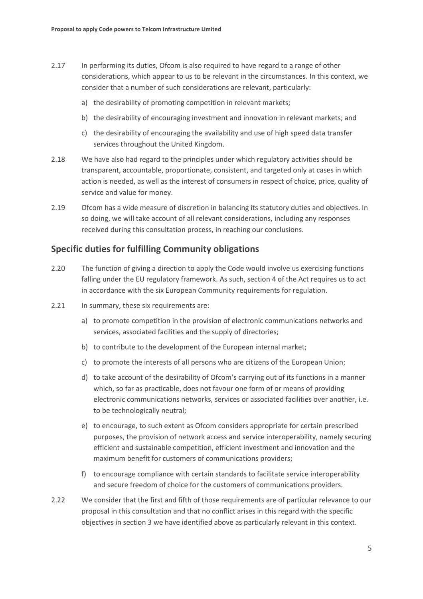- 2.17 In performing its duties, Ofcom is also required to have regard to a range of other considerations, which appear to us to be relevant in the circumstances. In this context, we consider that a number of such considerations are relevant, particularly:
	- a) the desirability of promoting competition in relevant markets;
	- b) the desirability of encouraging investment and innovation in relevant markets; and
	- c) the desirability of encouraging the availability and use of high speed data transfer services throughout the United Kingdom.
- 2.18 We have also had regard to the principles under which regulatory activities should be transparent, accountable, proportionate, consistent, and targeted only at cases in which action is needed, as well as the interest of consumers in respect of choice, price, quality of service and value for money.
- 2.19 Ofcom has a wide measure of discretion in balancing its statutory duties and objectives. In so doing, we will take account of all relevant considerations, including any responses received during this consultation process, in reaching our conclusions.

### **Specific duties for fulfilling Community obligations**

- 2.20 The function of giving a direction to apply the Code would involve us exercising functions falling under the EU regulatory framework. As such, section 4 of the Act requires us to act in accordance with the six European Community requirements for regulation.
- 2.21 In summary, these six requirements are:
	- a) to promote competition in the provision of electronic communications networks and services, associated facilities and the supply of directories;
	- b) to contribute to the development of the European internal market;
	- c) to promote the interests of all persons who are citizens of the European Union;
	- d) to take account of the desirability of Ofcom's carrying out of its functions in a manner which, so far as practicable, does not favour one form of or means of providing electronic communications networks, services or associated facilities over another, i.e. to be technologically neutral;
	- e) to encourage, to such extent as Ofcom considers appropriate for certain prescribed purposes, the provision of network access and service interoperability, namely securing efficient and sustainable competition, efficient investment and innovation and the maximum benefit for customers of communications providers;
	- f) to encourage compliance with certain standards to facilitate service interoperability and secure freedom of choice for the customers of communications providers.
- 2.22 We consider that the first and fifth of those requirements are of particular relevance to our proposal in this consultation and that no conflict arises in this regard with the specific objectives in section 3 we have identified above as particularly relevant in this context.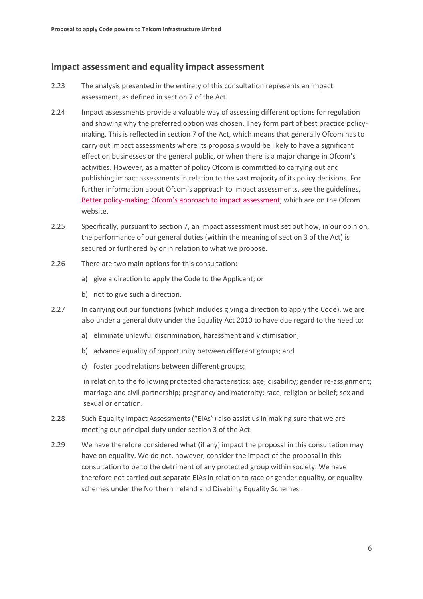### **Impact assessment and equality impact assessment**

- 2.23 The analysis presented in the entirety of this consultation represents an impact assessment, as defined in section 7 of the Act.
- 2.24 Impact assessments provide a valuable way of assessing different options for regulation and showing why the preferred option was chosen. They form part of best practice policymaking. This is reflected in section 7 of the Act, which means that generally Ofcom has to carry out impact assessments where its proposals would be likely to have a significant effect on businesses or the general public, or when there is a major change in Ofcom's activities. However, as a matter of policy Ofcom is committed to carrying out and publishing impact assessments in relation to the vast majority of its policy decisions. For further information about Ofcom's approach to impact assessments, see the guidelines, [Better policy-making: Ofcom's approach](http://www.ofcom.org.uk/consult/policy_making/guidelines.pdf) to impact assessment, which are on the Ofcom website.
- 2.25 Specifically, pursuant to section 7, an impact assessment must set out how, in our opinion, the performance of our general duties (within the meaning of section 3 of the Act) is secured or furthered by or in relation to what we propose.
- 2.26 There are two main options for this consultation:
	- a) give a direction to apply the Code to the Applicant; or
	- b) not to give such a direction.
- 2.27 In carrying out our functions (which includes giving a direction to apply the Code), we are also under a general duty under the Equality Act 2010 to have due regard to the need to:
	- a) eliminate unlawful discrimination, harassment and victimisation;
	- b) advance equality of opportunity between different groups; and
	- c) foster good relations between different groups;

in relation to the following protected characteristics: age; disability; gender re-assignment; marriage and civil partnership; pregnancy and maternity; race; religion or belief; sex and sexual orientation.

- 2.28 Such Equality Impact Assessments ("EIAs") also assist us in making sure that we are meeting our principal duty under section 3 of the Act.
- 2.29 We have therefore considered what (if any) impact the proposal in this consultation may have on equality. We do not, however, consider the impact of the proposal in this consultation to be to the detriment of any protected group within society. We have therefore not carried out separate EIAs in relation to race or gender equality, or equality schemes under the Northern Ireland and Disability Equality Schemes.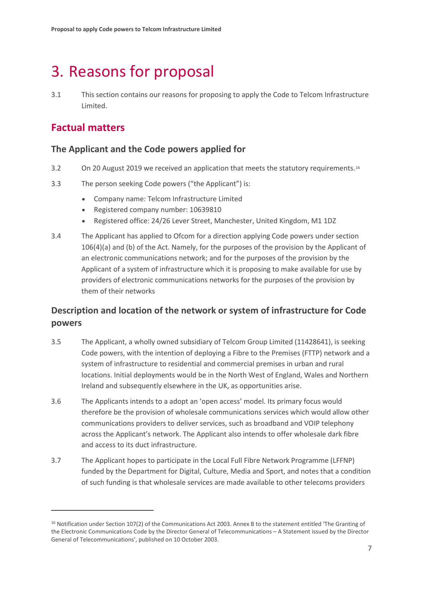# <span id="page-8-0"></span>3. Reasons for proposal

3.1 This section contains our reasons for proposing to apply the Code to Telcom Infrastructure Limited.

## **Factual matters**

### **The Applicant and the Code powers applied for**

- 3.2 On 20 August 2019 we received an application that meets the statutory requirements.[16](#page-8-1)
- 3.3 The person seeking Code powers ("the Applicant") is:
	- Company name: Telcom Infrastructure Limited
	- Registered company number: 10639810
	- Registered office: 24/26 Lever Street, Manchester, United Kingdom, M1 1DZ
- 3.4 The Applicant has applied to Ofcom for a direction applying Code powers under section 106(4)(a) and (b) of the Act. Namely, for the purposes of the provision by the Applicant of an electronic communications network; and for the purposes of the provision by the Applicant of a system of infrastructure which it is proposing to make available for use by providers of electronic communications networks for the purposes of the provision by them of their networks

## **Description and location of the network or system of infrastructure for Code powers**

- 3.5 The Applicant, a wholly owned subsidiary of Telcom Group Limited (11428641), is seeking Code powers, with the intention of deploying a Fibre to the Premises (FTTP) network and a system of infrastructure to residential and commercial premises in urban and rural locations. Initial deployments would be in the North West of England, Wales and Northern Ireland and subsequently elsewhere in the UK, as opportunities arise.
- 3.6 The Applicants intends to a adopt an 'open access' model. Its primary focus would therefore be the provision of wholesale communications services which would allow other communications providers to deliver services, such as broadband and VOIP telephony across the Applicant's network. The Applicant also intends to offer wholesale dark fibre and access to its duct infrastructure.
- 3.7 The Applicant hopes to participate in the Local Full Fibre Network Programme (LFFNP) funded by the Department for Digital, Culture, Media and Sport, and notes that a condition of such funding is that wholesale services are made available to other telecoms providers

<span id="page-8-1"></span><sup>16</sup> Notification under Section 107(2) of the Communications Act 2003. Annex B to the statement entitled 'The Granting of the Electronic Communications Code by the Director General of Telecommunications – A Statement issued by the Director General of Telecommunications', published on 10 October 2003.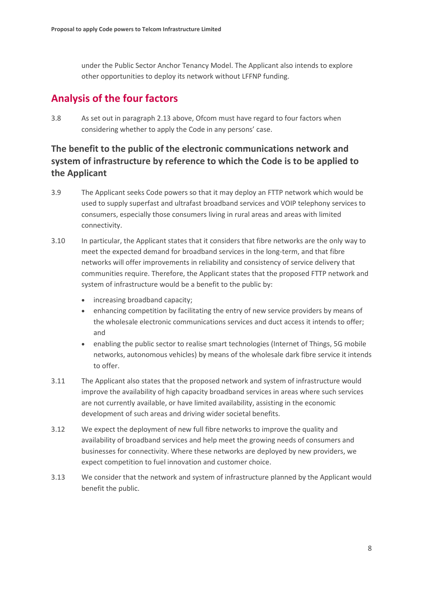under the Public Sector Anchor Tenancy Model. The Applicant also intends to explore other opportunities to deploy its network without LFFNP funding.

# **Analysis of the four factors**

3.8 As set out in paragraph 2.13 above, Ofcom must have regard to four factors when considering whether to apply the Code in any persons' case.

## **The benefit to the public of the electronic communications network and system of infrastructure by reference to which the Code is to be applied to the Applicant**

- 3.9 The Applicant seeks Code powers so that it may deploy an FTTP network which would be used to supply superfast and ultrafast broadband services and VOIP telephony services to consumers, especially those consumers living in rural areas and areas with limited connectivity.
- 3.10 In particular, the Applicant states that it considers that fibre networks are the only way to meet the expected demand for broadband services in the long-term, and that fibre networks will offer improvements in reliability and consistency of service delivery that communities require. Therefore, the Applicant states that the proposed FTTP network and system of infrastructure would be a benefit to the public by:
	- increasing broadband capacity;
	- enhancing competition by facilitating the entry of new service providers by means of the wholesale electronic communications services and duct access it intends to offer; and
	- enabling the public sector to realise smart technologies (Internet of Things, 5G mobile networks, autonomous vehicles) by means of the wholesale dark fibre service it intends to offer.
- 3.11 The Applicant also states that the proposed network and system of infrastructure would improve the availability of high capacity broadband services in areas where such services are not currently available, or have limited availability, assisting in the economic development of such areas and driving wider societal benefits.
- 3.12 We expect the deployment of new full fibre networks to improve the quality and availability of broadband services and help meet the growing needs of consumers and businesses for connectivity. Where these networks are deployed by new providers, we expect competition to fuel innovation and customer choice.
- 3.13 We consider that the network and system of infrastructure planned by the Applicant would benefit the public.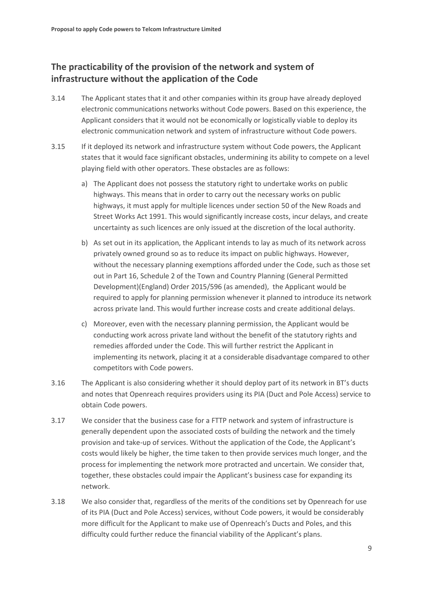### **The practicability of the provision of the network and system of infrastructure without the application of the Code**

- 3.14 The Applicant states that it and other companies within its group have already deployed electronic communications networks without Code powers. Based on this experience, the Applicant considers that it would not be economically or logistically viable to deploy its electronic communication network and system of infrastructure without Code powers.
- 3.15 If it deployed its network and infrastructure system without Code powers, the Applicant states that it would face significant obstacles, undermining its ability to compete on a level playing field with other operators. These obstacles are as follows:
	- a) The Applicant does not possess the statutory right to undertake works on public highways. This means that in order to carry out the necessary works on public highways, it must apply for multiple licences under section 50 of the New Roads and Street Works Act 1991. This would significantly increase costs, incur delays, and create uncertainty as such licences are only issued at the discretion of the local authority.
	- b) As set out in its application, the Applicant intends to lay as much of its network across privately owned ground so as to reduce its impact on public highways. However, without the necessary planning exemptions afforded under the Code, such as those set out in Part 16, Schedule 2 of the Town and Country Planning (General Permitted Development)(England) Order 2015/596 (as amended), the Applicant would be required to apply for planning permission whenever it planned to introduce its network across private land. This would further increase costs and create additional delays.
	- c) Moreover, even with the necessary planning permission, the Applicant would be conducting work across private land without the benefit of the statutory rights and remedies afforded under the Code. This will further restrict the Applicant in implementing its network, placing it at a considerable disadvantage compared to other competitors with Code powers.
- 3.16 The Applicant is also considering whether it should deploy part of its network in BT's ducts and notes that Openreach requires providers using its PIA (Duct and Pole Access) service to obtain Code powers.
- 3.17 We consider that the business case for a FTTP network and system of infrastructure is generally dependent upon the associated costs of building the network and the timely provision and take-up of services. Without the application of the Code, the Applicant's costs would likely be higher, the time taken to then provide services much longer, and the process for implementing the network more protracted and uncertain. We consider that, together, these obstacles could impair the Applicant's business case for expanding its network.
- 3.18 We also consider that, regardless of the merits of the conditions set by Openreach for use of its PIA (Duct and Pole Access) services, without Code powers, it would be considerably more difficult for the Applicant to make use of Openreach's Ducts and Poles, and this difficulty could further reduce the financial viability of the Applicant's plans.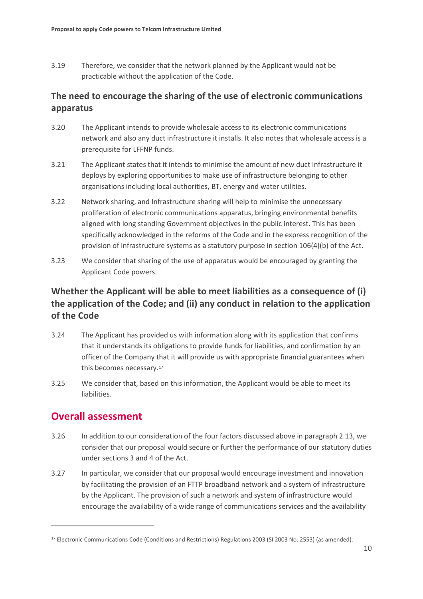3.19 Therefore, we consider that the network planned by the Applicant would not be practicable without the application of the Code.

## **The need to encourage the sharing of the use of electronic communications apparatus**

- 3.20 The Applicant intends to provide wholesale access to its electronic communications network and also any duct infrastructure it installs. It also notes that wholesale access is a prerequisite for LFFNP funds.
- 3.21 The Applicant states that it intends to minimise the amount of new duct infrastructure it deploys by exploring opportunities to make use of infrastructure belonging to other organisations including local authorities, BT, energy and water utilities.
- 3.22 Network sharing, and Infrastructure sharing will help to minimise the unnecessary proliferation of electronic communications apparatus, bringing environmental benefits aligned with long standing Government objectives in the public interest. This has been specifically acknowledged in the reforms of the Code and in the express recognition of the provision of infrastructure systems as a statutory purpose in section 106(4)(b) of the Act.
- 3.23 We consider that sharing of the use of apparatus would be encouraged by granting the Applicant Code powers.

## **Whether the Applicant will be able to meet liabilities as a consequence of (i) the application of the Code; and (ii) any conduct in relation to the application of the Code**

- 3.24 The Applicant has provided us with information along with its application that confirms that it understands its obligations to provide funds for liabilities, and confirmation by an officer of the Company that it will provide us with appropriate financial guarantees when this becomes necessary[.17](#page-11-0)
- 3.25 We consider that, based on this information, the Applicant would be able to meet its liabilities.

## **Overall assessment**

- 3.26 In addition to our consideration of the four factors discussed above in paragraph 2.13, we consider that our proposal would secure or further the performance of our statutory duties under sections 3 and 4 of the Act.
- 3.27 In particular, we consider that our proposal would encourage investment and innovation by facilitating the provision of an FTTP broadband network and a system of infrastructure by the Applicant. The provision of such a network and system of infrastructure would encourage the availability of a wide range of communications services and the availability

<span id="page-11-0"></span><sup>&</sup>lt;sup>17</sup> Electronic Communications Code (Conditions and Restrictions) Regulations 2003 (SI 2003 No. 2553) (as amended).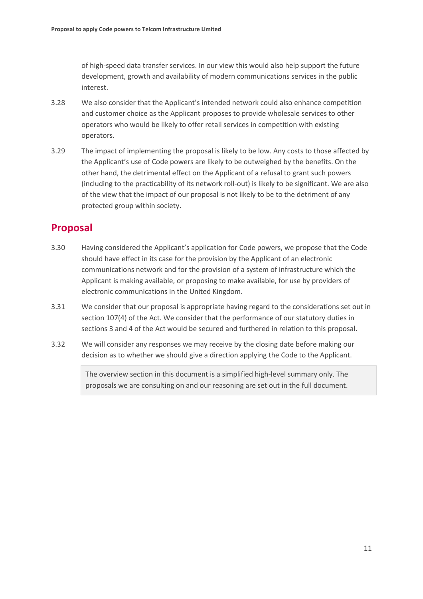of high-speed data transfer services. In our view this would also help support the future development, growth and availability of modern communications services in the public interest.

- 3.28 We also consider that the Applicant's intended network could also enhance competition and customer choice as the Applicant proposes to provide wholesale services to other operators who would be likely to offer retail services in competition with existing operators.
- 3.29 The impact of implementing the proposal is likely to be low. Any costs to those affected by the Applicant's use of Code powers are likely to be outweighed by the benefits. On the other hand, the detrimental effect on the Applicant of a refusal to grant such powers (including to the practicability of its network roll-out) is likely to be significant. We are also of the view that the impact of our proposal is not likely to be to the detriment of any protected group within society.

# **Proposal**

- 3.30 Having considered the Applicant's application for Code powers, we propose that the Code should have effect in its case for the provision by the Applicant of an electronic communications network and for the provision of a system of infrastructure which the Applicant is making available, or proposing to make available, for use by providers of electronic communications in the United Kingdom.
- 3.31 We consider that our proposal is appropriate having regard to the considerations set out in section 107(4) of the Act. We consider that the performance of our statutory duties in sections 3 and 4 of the Act would be secured and furthered in relation to this proposal.
- 3.32 We will consider any responses we may receive by the closing date before making our decision as to whether we should give a direction applying the Code to the Applicant.

The overview section in this document is a simplified high-level summary only. The proposals we are consulting on and our reasoning are set out in the full document.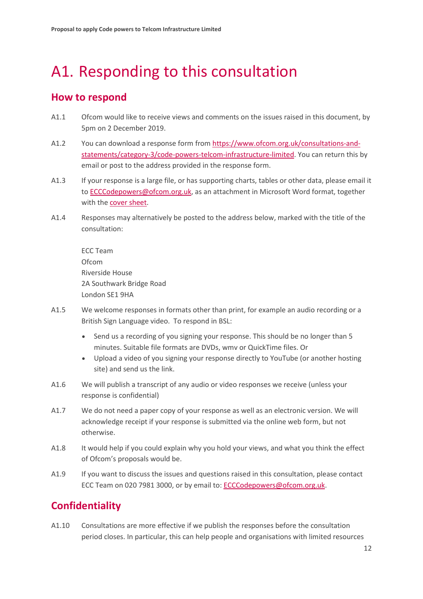# <span id="page-13-0"></span>A1. Responding to this consultation

## **How to respond**

- A1.1 Ofcom would like to receive views and comments on the issues raised in this document, by 5pm on 2 December 2019.
- A1.2 You can download a response form from [https://www.ofcom.org.uk/consultations-and](https://www.ofcom.org.uk/consultations-and-statements/category-3/code-powers-telcom-infrastructure-limited)[statements/category-3/code-powers-telcom-infrastructure-limited.](https://www.ofcom.org.uk/consultations-and-statements/category-3/code-powers-telcom-infrastructure-limited) You can return this by email or post to the address provided in the response form.
- A1.3 If your response is a large file, or has supporting charts, tables or other data, please email it t[o ECCCodepowers@ofcom.org.uk,](mailto:ECCCodepowers@ofcom.org.uk) as an attachment in Microsoft Word format, together with th[e cover sheet.](https://www.ofcom.org.uk/consultations-and-statements/consultation-response-coversheet)
- A1.4 Responses may alternatively be posted to the address below, marked with the title of the consultation:

ECC Team Ofcom Riverside House 2A Southwark Bridge Road London SE1 9HA

- A1.5 We welcome responses in formats other than print, for example an audio recording or a British Sign Language video. To respond in BSL:
	- Send us a recording of you signing your response. This should be no longer than 5 minutes. Suitable file formats are DVDs, wmv or QuickTime files. Or
	- Upload a video of you signing your response directly to YouTube (or another hosting site) and send us the link.
- A1.6 We will publish a transcript of any audio or video responses we receive (unless your response is confidential)
- A1.7 We do not need a paper copy of your response as well as an electronic version. We will acknowledge receipt if your response is submitted via the online web form, but not otherwise.
- A1.8 It would help if you could explain why you hold your views, and what you think the effect of Ofcom's proposals would be.
- A1.9 If you want to discuss the issues and questions raised in this consultation, please contact ECC Team on 020 7981 3000, or by email to[: ECCCodepowers@ofcom.org.uk.](mailto:ECCCodepowers@ofcom.org.uk)

## **Confidentiality**

A1.10 Consultations are more effective if we publish the responses before the consultation period closes. In particular, this can help people and organisations with limited resources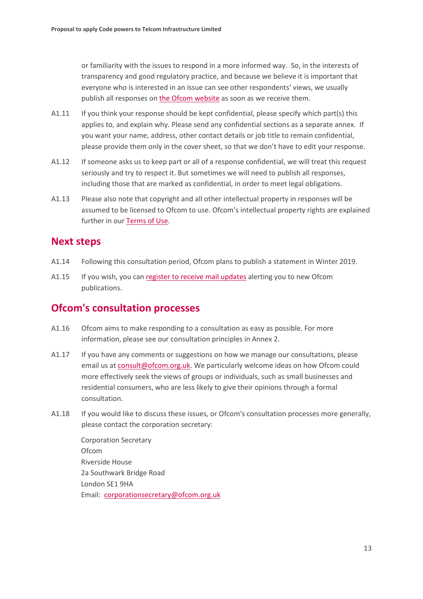or familiarity with the issues to respond in a more informed way. So, in the interests of transparency and good regulatory practice, and because we believe it is important that everyone who is interested in an issue can see other respondents' views, we usually publish all responses on [the Ofcom website](http://www.ofcom.org.uk/) as soon as we receive them.

- A1.11 If you think your response should be kept confidential, please specify which part(s) this applies to, and explain why. Please send any confidential sections as a separate annex. If you want your name, address, other contact details or job title to remain confidential, please provide them only in the cover sheet, so that we don't have to edit your response.
- A1.12 If someone asks us to keep part or all of a response confidential, we will treat this request seriously and try to respect it. But sometimes we will need to publish all responses, including those that are marked as confidential, in order to meet legal obligations.
- A1.13 Please also note that copyright and all other intellectual property in responses will be assumed to be licensed to Ofcom to use. Ofcom's intellectual property rights are explained further in ou[r Terms of Use.](https://www.ofcom.org.uk/about-ofcom/website/terms-of-use)

### **Next steps**

- A1.14 Following this consultation period, Ofcom plans to publish a statement in Winter 2019.
- A1.15 If you wish, you can [register to receive mail updates](https://www.ofcom.org.uk/about-ofcom/latest/email-updates) alerting you to new Ofcom publications.

### **Ofcom's consultation processes**

- A1.16 Ofcom aims to make responding to a consultation as easy as possible. For more information, please see our consultation principles in Annex 2.
- A1.17 If you have any comments or suggestions on how we manage our consultations, please email us a[t consult@ofcom.org.uk.](mailto:consult@ofcom.org.uk) We particularly welcome ideas on how Ofcom could more effectively seek the views of groups or individuals, such as small businesses and residential consumers, who are less likely to give their opinions through a formal consultation.
- A1.18 If you would like to discuss these issues, or Ofcom's consultation processes more generally, please contact the corporation secretary:

| <b>Corporation Secretary</b>             |
|------------------------------------------|
| Ofcom                                    |
| Riverside House                          |
| 2a Southwark Bridge Road                 |
| London SE1 9HA                           |
| Email: corporationsecretary@ofcom.org.uk |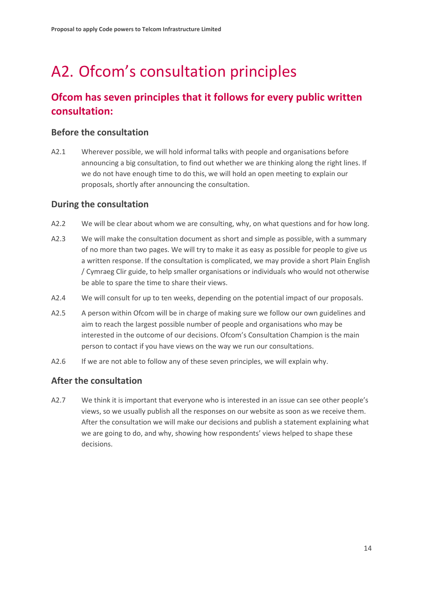# <span id="page-15-0"></span>A2. Ofcom's consultation principles

## **Ofcom has seven principles that it follows for every public written consultation:**

### **Before the consultation**

A2.1 Wherever possible, we will hold informal talks with people and organisations before announcing a big consultation, to find out whether we are thinking along the right lines. If we do not have enough time to do this, we will hold an open meeting to explain our proposals, shortly after announcing the consultation.

### **During the consultation**

- A2.2 We will be clear about whom we are consulting, why, on what questions and for how long.
- A2.3 We will make the consultation document as short and simple as possible, with a summary of no more than two pages. We will try to make it as easy as possible for people to give us a written response. If the consultation is complicated, we may provide a short Plain English / Cymraeg Clir guide, to help smaller organisations or individuals who would not otherwise be able to spare the time to share their views.
- A2.4 We will consult for up to ten weeks, depending on the potential impact of our proposals.
- A2.5 A person within Ofcom will be in charge of making sure we follow our own guidelines and aim to reach the largest possible number of people and organisations who may be interested in the outcome of our decisions. Ofcom's Consultation Champion is the main person to contact if you have views on the way we run our consultations.
- A2.6 If we are not able to follow any of these seven principles, we will explain why.

### **After the consultation**

A2.7 We think it is important that everyone who is interested in an issue can see other people's views, so we usually publish all the responses on our website as soon as we receive them. After the consultation we will make our decisions and publish a statement explaining what we are going to do, and why, showing how respondents' views helped to shape these decisions.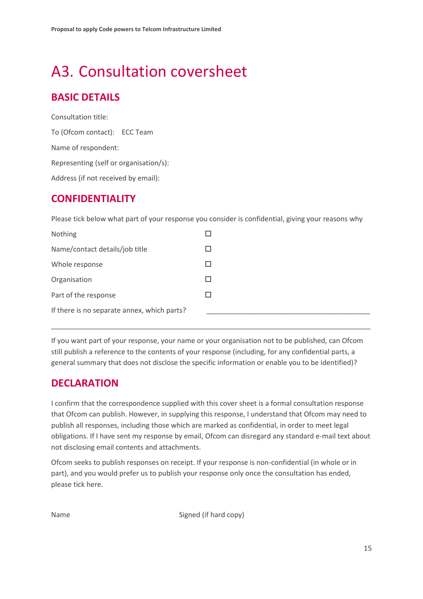# <span id="page-16-0"></span>A3. Consultation coversheet

# **BASIC DETAILS**

Consultation title: To (Ofcom contact): ECC Team Name of respondent: Representing (self or organisation/s): Address (if not received by email):

## **CONFIDENTIALITY**

Please tick below what part of your response you consider is confidential, giving your reasons why

| Nothing                                     |              |
|---------------------------------------------|--------------|
| Name/contact details/job title              |              |
| Whole response                              |              |
| Organisation                                | $\mathbf{I}$ |
| Part of the response                        |              |
| If there is no separate annex, which parts? |              |

If you want part of your response, your name or your organisation not to be published, can Ofcom still publish a reference to the contents of your response (including, for any confidential parts, a general summary that does not disclose the specific information or enable you to be identified)?

\_\_\_\_\_\_\_\_\_\_\_\_\_\_\_\_\_\_\_\_\_\_\_\_\_\_\_\_\_\_\_\_\_\_\_\_\_\_\_\_\_\_\_\_\_\_\_\_\_\_\_\_\_\_\_\_\_\_\_\_\_\_\_\_\_\_\_\_\_\_\_\_\_\_\_\_\_\_\_\_\_\_

## **DECLARATION**

I confirm that the correspondence supplied with this cover sheet is a formal consultation response that Ofcom can publish. However, in supplying this response, I understand that Ofcom may need to publish all responses, including those which are marked as confidential, in order to meet legal obligations. If I have sent my response by email, Ofcom can disregard any standard e-mail text about not disclosing email contents and attachments.

Ofcom seeks to publish responses on receipt. If your response is non-confidential (in whole or in part), and you would prefer us to publish your response only once the consultation has ended, please tick here.

Name Signed (if hard copy)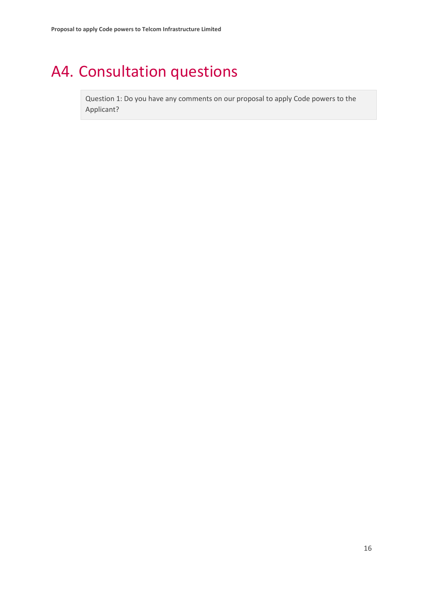# <span id="page-17-0"></span>A4. Consultation questions

Question 1: Do you have any comments on our proposal to apply Code powers to the Applicant?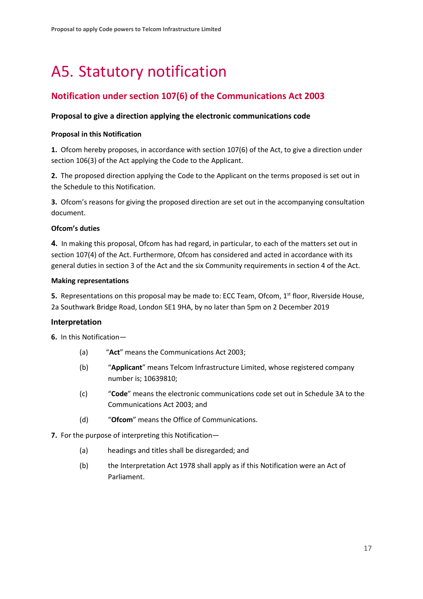# <span id="page-18-0"></span>A5. Statutory notification

### **Notification under section 107(6) of the Communications Act 2003**

### **Proposal to give a direction applying the electronic communications code**

#### **Proposal in this Notification**

**1.** Ofcom hereby proposes, in accordance with section 107(6) of the Act, to give a direction under section 106(3) of the Act applying the Code to the Applicant.

**2.** The proposed direction applying the Code to the Applicant on the terms proposed is set out in the Schedule to this Notification.

**3.** Ofcom's reasons for giving the proposed direction are set out in the accompanying consultation document.

#### **Ofcom's duties**

**4.** In making this proposal, Ofcom has had regard, in particular, to each of the matters set out in section 107(4) of the Act. Furthermore, Ofcom has considered and acted in accordance with its general duties in section 3 of the Act and the six Community requirements in section 4 of the Act.

#### **Making representations**

**5.** Representations on this proposal may be made to: ECC Team, Ofcom, 1<sup>st</sup> floor, Riverside House, 2a Southwark Bridge Road, London SE1 9HA, by no later than 5pm on 2 December 2019

### **Interpretation**

**6.** In this Notification—

- (a) "**Act**" means the Communications Act 2003;
- (b) "**Applicant**" means Telcom Infrastructure Limited, whose registered company number is; 10639810;
- (c) "**Code**" means the electronic communications code set out in Schedule 3A to the Communications Act 2003; and
- (d) "**Ofcom**" means the Office of Communications.

**7.** For the purpose of interpreting this Notification—

- (a) headings and titles shall be disregarded; and
- (b) the Interpretation Act 1978 shall apply as if this Notification were an Act of Parliament.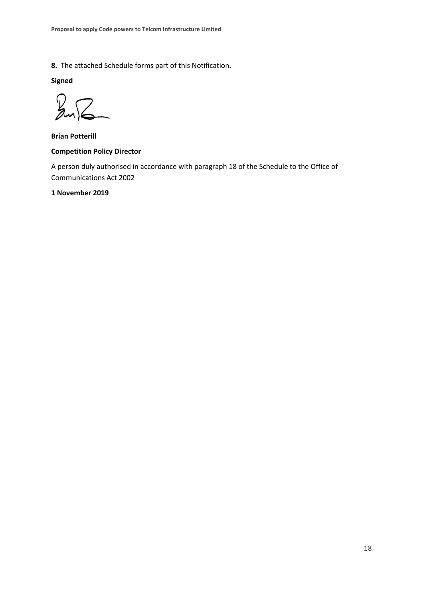**8.** The attached Schedule forms part of this Notification.

**Signed**

Z  $R$ 

**Brian Potterill**

#### **Competition Policy Director**

A person duly authorised in accordance with paragraph 18 of the Schedule to the Office of Communications Act 2002

#### **1 November 2019**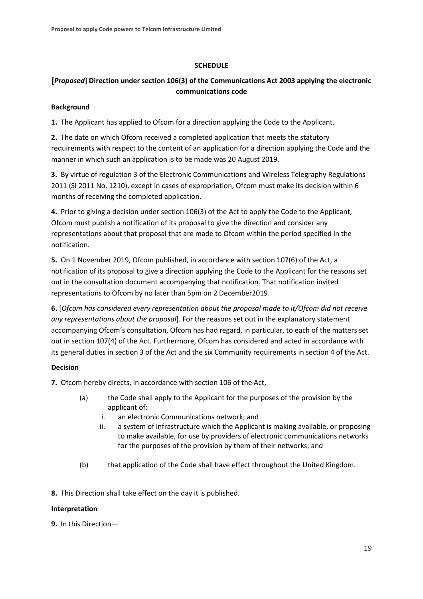### **SCHEDULE**

### **[***Proposed***] Direction under section 106(3) of the Communications Act 2003 applying the electronic communications code**

#### **Background**

**1.** The Applicant has applied to Ofcom for a direction applying the Code to the Applicant.

**2.** The date on which Ofcom received a completed application that meets the statutory requirements with respect to the content of an application for a direction applying the Code and the manner in which such an application is to be made was 20 August 2019.

**3.** By virtue of regulation 3 of the Electronic Communications and Wireless Telegraphy Regulations 2011 (SI 2011 No. 1210), except in cases of expropriation, Ofcom must make its decision within 6 months of receiving the completed application.

**4.** Prior to giving a decision under section 106(3) of the Act to apply the Code to the Applicant, Ofcom must publish a notification of its proposal to give the direction and consider any representations about that proposal that are made to Ofcom within the period specified in the notification.

**5.** On 1 November 2019, Ofcom published, in accordance with section 107(6) of the Act, a notification of its proposal to give a direction applying the Code to the Applicant for the reasons set out in the consultation document accompanying that notification. That notification invited representations to Ofcom by no later than 5pm on 2 December2019.

**6.** [*Ofcom has considered every representation about the proposal made to it/Ofcom did not receive any representations about the proposal*]. For the reasons set out in the explanatory statement accompanying Ofcom's consultation, Ofcom has had regard, in particular, to each of the matters set out in section 107(4) of the Act. Furthermore, Ofcom has considered and acted in accordance with its general duties in section 3 of the Act and the six Community requirements in section 4 of the Act.

### **Decision**

**7.** Ofcom hereby directs, in accordance with section 106 of the Act,

- (a) the Code shall apply to the Applicant for the purposes of the provision by the applicant of:
	- i. an electronic Communications network; and
	- ii. a system of infrastructure which the Applicant is making available, or proposing to make available, for use by providers of electronic communications networks for the purposes of the provision by them of their networks; and
- (b) that application of the Code shall have effect throughout the United Kingdom.
- **8.** This Direction shall take effect on the day it is published.

### **Interpretation**

**9.** In this Direction—